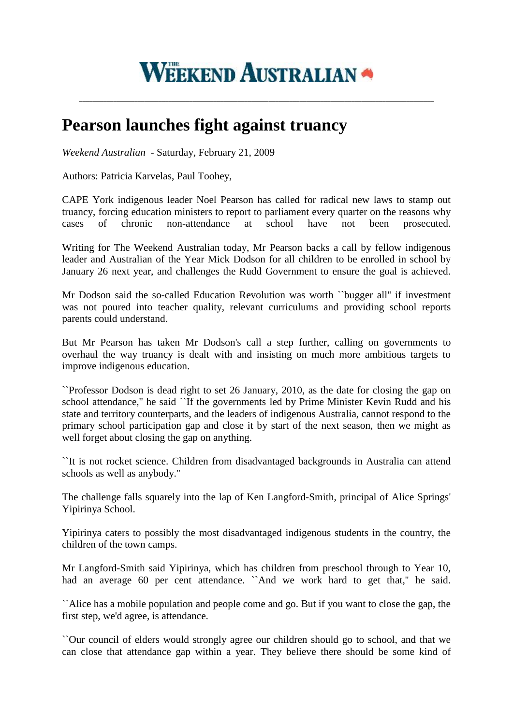

**\_\_\_\_\_\_\_\_\_\_\_\_\_\_\_\_\_\_\_\_\_\_\_\_\_\_\_\_\_\_\_\_\_\_\_\_\_\_\_\_\_\_\_\_\_\_\_\_\_\_\_\_\_\_\_\_\_\_\_\_\_\_\_\_\_\_\_\_\_\_\_\_\_\_\_\_\_\_\_\_\_\_\_\_\_\_\_\_\_\_\_\_\_\_\_\_\_\_\_\_\_\_\_**

## **Pearson launches fight against truancy**

*Weekend Australian* - Saturday, February 21, 2009

Authors: Patricia Karvelas, Paul Toohey,

CAPE York indigenous leader Noel Pearson has called for radical new laws to stamp out truancy, forcing education ministers to report to parliament every quarter on the reasons why cases of chronic non-attendance at school have not been prosecuted.

Writing for The Weekend Australian today, Mr Pearson backs a call by fellow indigenous leader and Australian of the Year Mick Dodson for all children to be enrolled in school by January 26 next year, and challenges the Rudd Government to ensure the goal is achieved.

Mr Dodson said the so-called Education Revolution was worth ``bugger all'' if investment was not poured into teacher quality, relevant curriculums and providing school reports parents could understand.

But Mr Pearson has taken Mr Dodson's call a step further, calling on governments to overhaul the way truancy is dealt with and insisting on much more ambitious targets to improve indigenous education.

``Professor Dodson is dead right to set 26 January, 2010, as the date for closing the gap on school attendance,'' he said ``If the governments led by Prime Minister Kevin Rudd and his state and territory counterparts, and the leaders of indigenous Australia, cannot respond to the primary school participation gap and close it by start of the next season, then we might as well forget about closing the gap on anything.

``It is not rocket science. Children from disadvantaged backgrounds in Australia can attend schools as well as anybody.''

The challenge falls squarely into the lap of Ken Langford-Smith, principal of Alice Springs' Yipirinya School.

Yipirinya caters to possibly the most disadvantaged indigenous students in the country, the children of the town camps.

Mr Langford-Smith said Yipirinya, which has children from preschool through to Year 10, had an average 60 per cent attendance. ``And we work hard to get that," he said.

``Alice has a mobile population and people come and go. But if you want to close the gap, the first step, we'd agree, is attendance.

``Our council of elders would strongly agree our children should go to school, and that we can close that attendance gap within a year. They believe there should be some kind of